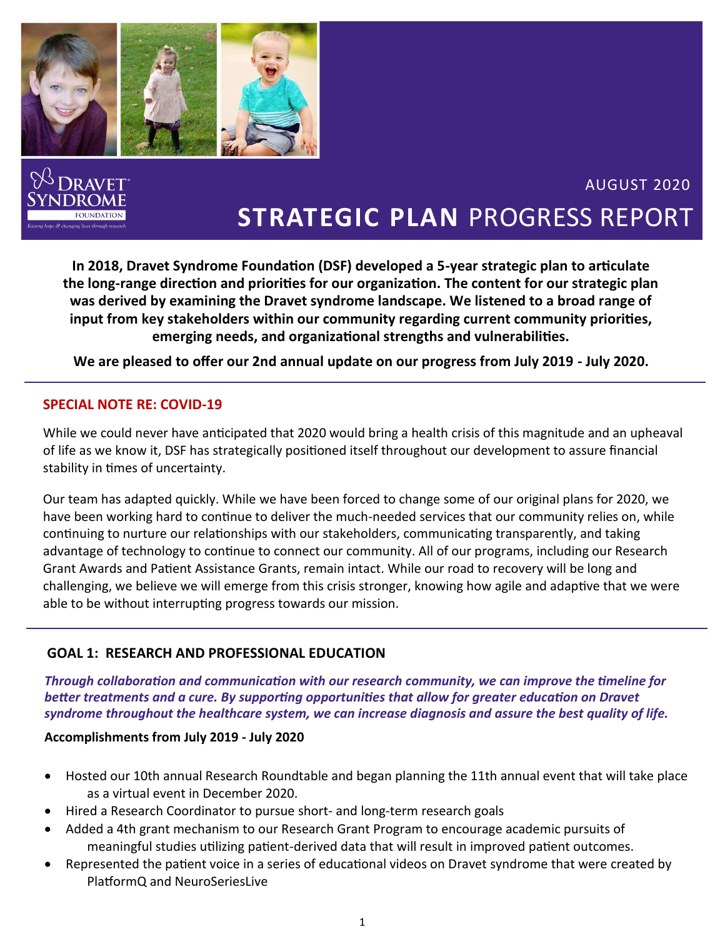

**In 2018, Dravet Syndrome Foundation (DSF) developed a 5-year strategic plan to articulate the long‐range direction and priorities for our organization. The content for our strategic plan was derived by examining the Dravet syndrome landscape. We listened to a broad range of input from key stakeholders within our community regarding current community priorities, emerging needs, and organizational strengths and vulnerabilities.** 

**We are pleased to offer our 2nd annual update on our progress from July 2019 - July 2020.**

### **SPECIAL NOTE RE: COVID-19**

While we could never have anticipated that 2020 would bring a health crisis of this magnitude and an upheaval of life as we know it, DSF has strategically positioned itself throughout our development to assure financial stability in times of uncertainty.

Our team has adapted quickly. While we have been forced to change some of our original plans for 2020, we have been working hard to continue to deliver the much-needed services that our community relies on, while continuing to nurture our relationships with our stakeholders, communicating transparently, and taking advantage of technology to continue to connect our community. All of our programs, including our Research Grant Awards and Patient Assistance Grants, remain intact. While our road to recovery will be long and challenging, we believe we will emerge from this crisis stronger, knowing how agile and adaptive that we were able to be without interrupting progress towards our mission.

### **GOAL 1: RESEARCH AND PROFESSIONAL EDUCATION**

*Through collaboration and communication with our research community, we can improve the timeline for better treatments and a cure. By supporting opportunities that allow for greater education on Dravet syndrome throughout the healthcare system, we can increase diagnosis and assure the best quality of life.*

#### **Accomplishments from July 2019 - July 2020**

- Hosted our 10th annual Research Roundtable and began planning the 11th annual event that will take place as a virtual event in December 2020.
- Hired a Research Coordinator to pursue short- and long-term research goals
- Added a 4th grant mechanism to our Research Grant Program to encourage academic pursuits of meaningful studies utilizing patient-derived data that will result in improved patient outcomes.
- Represented the patient voice in a series of educational videos on Dravet syndrome that were created by PlatformO and NeuroSeriesLive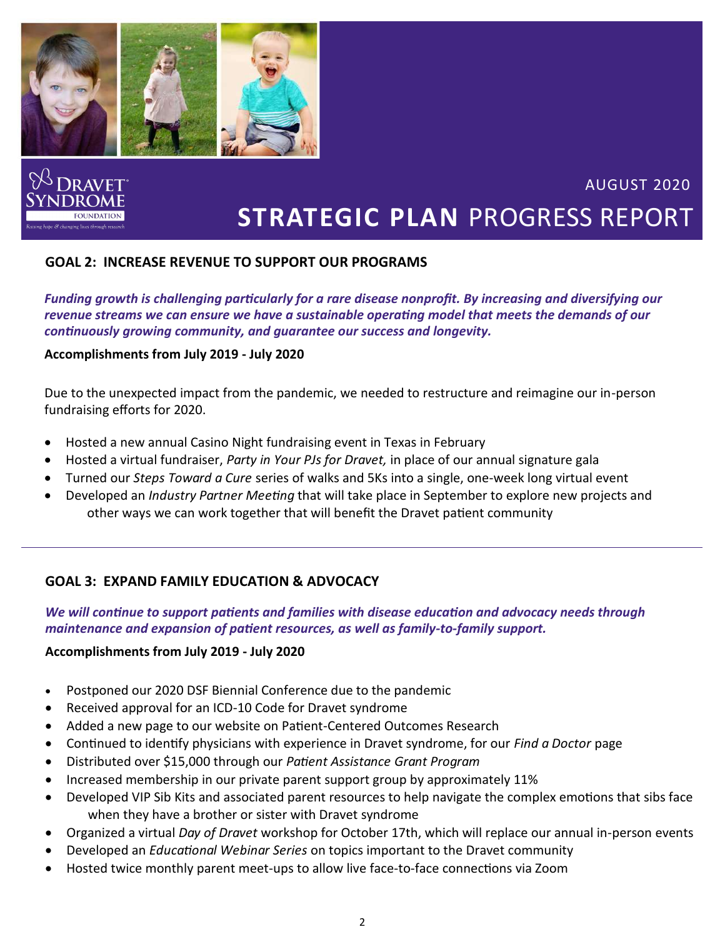

## **GOAL 2: INCREASE REVENUE TO SUPPORT OUR PROGRAMS**

*Funding growth is challenging particularly for a rare disease nonprofit. By increasing and diversifying our revenue streams we can ensure we have a sustainable operating model that meets the demands of our continuously growing community, and guarantee our success and longevity.*

#### **Accomplishments from July 2019 - July 2020**

Due to the unexpected impact from the pandemic, we needed to restructure and reimagine our in-person fundraising efforts for 2020.

- Hosted a new annual Casino Night fundraising event in Texas in February
- Hosted a virtual fundraiser, *Party in Your PJs for Dravet,* in place of our annual signature gala
- Turned our *Steps Toward a Cure* series of walks and 5Ks into a single, one-week long virtual event
- Developed an *Industry Partner Meeting* that will take place in September to explore new projects and other ways we can work together that will benefit the Dravet patient community

### **GOAL 3: EXPAND FAMILY EDUCATION & ADVOCACY**

### *We will continue to support patients and families with disease education and advocacy needs through maintenance and expansion of patient resources, as well as family-to-family support.*

#### **Accomplishments from July 2019 - July 2020**

- Postponed our 2020 DSF Biennial Conference due to the pandemic
- Received approval for an ICD-10 Code for Dravet syndrome
- Added a new page to our website on Patient-Centered Outcomes Research
- Continued to identify physicians with experience in Dravet syndrome, for our *Find a Doctor* page
- Distributed over \$15,000 through our *Patient Assistance Grant Program*
- Increased membership in our private parent support group by approximately 11%
- Developed VIP Sib Kits and associated parent resources to help navigate the complex emotions that sibs face when they have a brother or sister with Dravet syndrome
- Organized a virtual *Day of Dravet* workshop for October 17th, which will replace our annual in-person events
- Developed an *Educational Webinar Series* on topics important to the Dravet community
- Hosted twice monthly parent meet-ups to allow live face-to-face connections via Zoom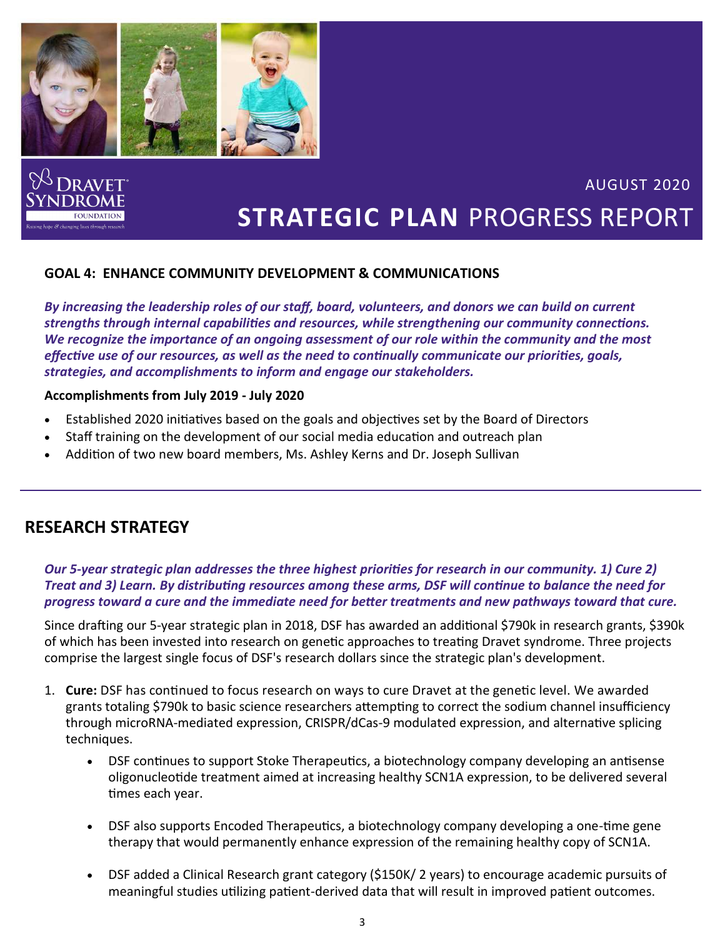

## **GOAL 4: ENHANCE COMMUNITY DEVELOPMENT & COMMUNICATIONS**

*By increasing the leadership roles of our staff, board, volunteers, and donors we can build on current strengths through internal capabilities and resources, while strengthening our community connections. We recognize the importance of an ongoing assessment of our role within the community and the most effective use of our resources, as well as the need to continually communicate our priorities, goals, strategies, and accomplishments to inform and engage our stakeholders.*

#### **Accomplishments from July 2019 - July 2020**

- Established 2020 initiatives based on the goals and objectives set by the Board of Directors
- Staff training on the development of our social media education and outreach plan
- Addition of two new board members, Ms. Ashley Kerns and Dr. Joseph Sullivan

# **RESEARCH STRATEGY**

#### *Our 5-year strategic plan addresses the three highest priorities for research in our community. 1) Cure 2) Treat and 3) Learn. By distributing resources among these arms, DSF will continue to balance the need for progress toward a cure and the immediate need for better treatments and new pathways toward that cure.*

Since drafting our 5-year strategic plan in 2018, DSF has awarded an additional \$790k in research grants, \$390k of which has been invested into research on genetic approaches to treating Dravet syndrome. Three projects comprise the largest single focus of DSF's research dollars since the strategic plan's development.

- 1. **Cure:** DSF has continued to focus research on ways to cure Dravet at the genetic level. We awarded grants totaling \$790k to basic science researchers attempting to correct the sodium channel insufficiency through microRNA-mediated expression, CRISPR/dCas-9 modulated expression, and alternative splicing techniques.
	- DSF continues to support Stoke Therapeutics, a biotechnology company developing an antisense oligonucleotide treatment aimed at increasing healthy SCN1A expression, to be delivered several times each year.
	- DSF also supports Encoded Therapeutics, a biotechnology company developing a one-time gene therapy that would permanently enhance expression of the remaining healthy copy of SCN1A.
	- DSF added a Clinical Research grant category (\$150K/ 2 years) to encourage academic pursuits of meaningful studies utilizing patient-derived data that will result in improved patient outcomes.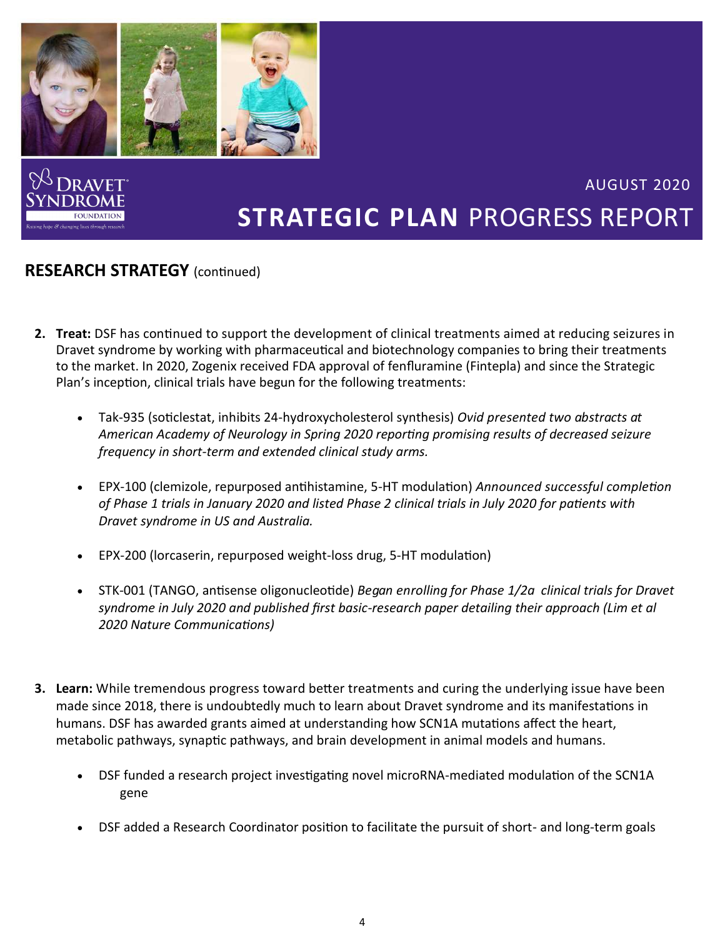

# **RESEARCH STRATEGY** (continued)

- **2. Treat:** DSF has continued to support the development of clinical treatments aimed at reducing seizures in Dravet syndrome by working with pharmaceutical and biotechnology companies to bring their treatments to the market. In 2020, Zogenix received FDA approval of fenfluramine (Fintepla) and since the Strategic Plan's inception, clinical trials have begun for the following treatments:
	- Tak-935 (soticlestat, inhibits 24-hydroxycholesterol synthesis) *Ovid presented two abstracts at American Academy of Neurology in Spring 2020 reporting promising results of decreased seizure frequency in short-term and extended clinical study arms.*
	- EPX-100 (clemizole, repurposed antihistamine, 5-HT modulation) *Announced successful completion of Phase 1 trials in January 2020 and listed Phase 2 clinical trials in July 2020 for patients with Dravet syndrome in US and Australia.*
	- EPX-200 (lorcaserin, repurposed weight-loss drug, 5-HT modulation)
	- STK-001 (TANGO, antisense oligonucleotide) *Began enrolling for Phase 1/2a clinical trials for Dravet syndrome in July 2020 and published first basic-research paper detailing their approach (Lim et al 2020 Nature Communications)*
- **3. Learn:** While tremendous progress toward better treatments and curing the underlying issue have been made since 2018, there is undoubtedly much to learn about Dravet syndrome and its manifestations in humans. DSF has awarded grants aimed at understanding how SCN1A mutations affect the heart, metabolic pathways, synaptic pathways, and brain development in animal models and humans.
	- DSF funded a research project investigating novel microRNA-mediated modulation of the SCN1A gene
	- DSF added a Research Coordinator position to facilitate the pursuit of short- and long-term goals